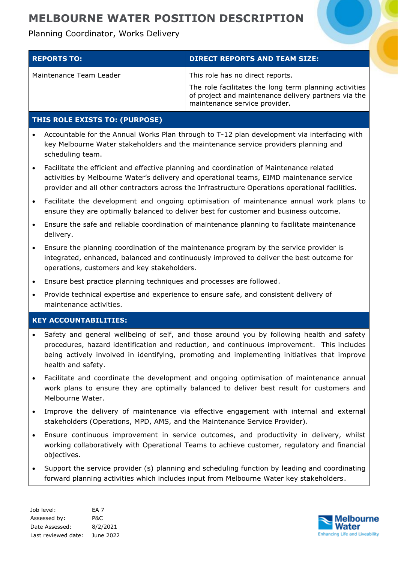Planning Coordinator, Works Delivery

| <b>REPORTS TO:</b> '    | <b>DIRECT REPORTS AND TEAM SIZE:</b>                                                                                                            |
|-------------------------|-------------------------------------------------------------------------------------------------------------------------------------------------|
| Maintenance Team Leader | This role has no direct reports.                                                                                                                |
|                         | The role facilitates the long term planning activities<br>of project and maintenance delivery partners via the<br>maintenance service provider. |

### **THIS ROLE EXISTS TO: (PURPOSE)**

- Accountable for the Annual Works Plan through to T-12 plan development via interfacing with key Melbourne Water stakeholders and the maintenance service providers planning and scheduling team.
- Facilitate the efficient and effective planning and coordination of Maintenance related activities by Melbourne Water's delivery and operational teams, EIMD maintenance service provider and all other contractors across the Infrastructure Operations operational facilities.
- Facilitate the development and ongoing optimisation of maintenance annual work plans to ensure they are optimally balanced to deliver best for customer and business outcome.
- Ensure the safe and reliable coordination of maintenance planning to facilitate maintenance delivery.
- Ensure the planning coordination of the maintenance program by the service provider is integrated, enhanced, balanced and continuously improved to deliver the best outcome for operations, customers and key stakeholders.
- Ensure best practice planning techniques and processes are followed.
- Provide technical expertise and experience to ensure safe, and consistent delivery of maintenance activities.

### **KEY ACCOUNTABILITIES:**

- Safety and general wellbeing of self, and those around you by following health and safety procedures, hazard identification and reduction, and continuous improvement. This includes being actively involved in identifying, promoting and implementing initiatives that improve health and safety.
- Facilitate and coordinate the development and ongoing optimisation of maintenance annual work plans to ensure they are optimally balanced to deliver best result for customers and Melbourne Water.
- Improve the delivery of maintenance via effective engagement with internal and external stakeholders (Operations, MPD, AMS, and the Maintenance Service Provider).
- Ensure continuous improvement in service outcomes, and productivity in delivery, whilst working collaboratively with Operational Teams to achieve customer, regulatory and financial objectives.
- Support the service provider (s) planning and scheduling function by leading and coordinating forward planning activities which includes input from Melbourne Water key stakeholders.

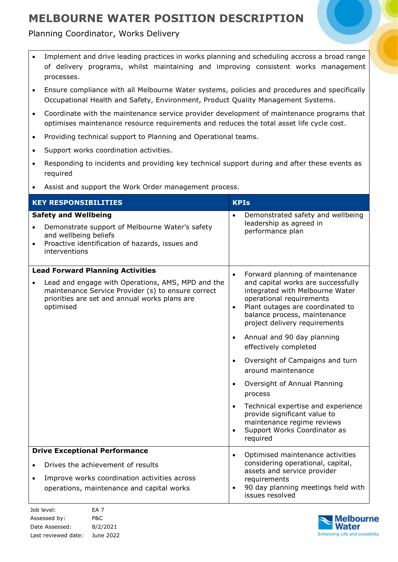### Planning Coordinator, Works Delivery

- Implement and drive leading practices in works planning and scheduling accross a broad range of delivery programs, whilst maintaining and improving consistent works management processes.
- Ensure compliance with all Melbourne Water systems, policies and procedures and specifically Occupational Health and Safety, Environment, Product Quality Management Systems.
- Coordinate with the maintenance service provider development of maintenance programs that optimises maintenance resource requirements and reduces the total asset life cycle cost.
- Providing technical support to Planning and Operational teams.
- Support works coordination activities.
- Responding to incidents and providing key technical support during and after these events as required
- Assist and support the Work Order management process.

| <b>KEY RESPONSIBILITIES</b>                                                                                                                                                                                      | <b>KPIs</b>                                                                                                                                                                                                                                                                                                                                                                                                                                                                                                                                                                                                                                     |
|------------------------------------------------------------------------------------------------------------------------------------------------------------------------------------------------------------------|-------------------------------------------------------------------------------------------------------------------------------------------------------------------------------------------------------------------------------------------------------------------------------------------------------------------------------------------------------------------------------------------------------------------------------------------------------------------------------------------------------------------------------------------------------------------------------------------------------------------------------------------------|
| <b>Safety and Wellbeing</b><br>Demonstrate support of Melbourne Water's safety<br>$\bullet$<br>and wellbeing beliefs<br>Proactive identification of hazards, issues and<br>$\bullet$<br>interventions            | Demonstrated safety and wellbeing<br>$\bullet$<br>leadership as agreed in<br>performance plan                                                                                                                                                                                                                                                                                                                                                                                                                                                                                                                                                   |
| <b>Lead Forward Planning Activities</b><br>Lead and engage with Operations, AMS, MPD and the<br>maintenance Service Provider (s) to ensure correct<br>priorities are set and annual works plans are<br>optimised | Forward planning of maintenance<br>$\bullet$<br>and capital works are successfully<br>integrated with Melbourne Water<br>operational requirements<br>Plant outages are coordinated to<br>$\bullet$<br>balance process, maintenance<br>project delivery requirements<br>Annual and 90 day planning<br>$\bullet$<br>effectively completed<br>Oversight of Campaigns and turn<br>$\bullet$<br>around maintenance<br>Oversight of Annual Planning<br>$\bullet$<br>process<br>Technical expertise and experience<br>$\bullet$<br>provide significant value to<br>maintenance regime reviews<br>Support Works Coordinator as<br>$\bullet$<br>required |
| <b>Drive Exceptional Performance</b><br>Drives the achievement of results<br>Improve works coordination activities across<br>$\bullet$<br>operations, maintenance and capital works                              | Optimised maintenance activities<br>$\bullet$<br>considering operational, capital,<br>assets and service provider<br>requirements<br>90 day planning meetings held with<br>$\bullet$<br>issues resolved                                                                                                                                                                                                                                                                                                                                                                                                                                         |

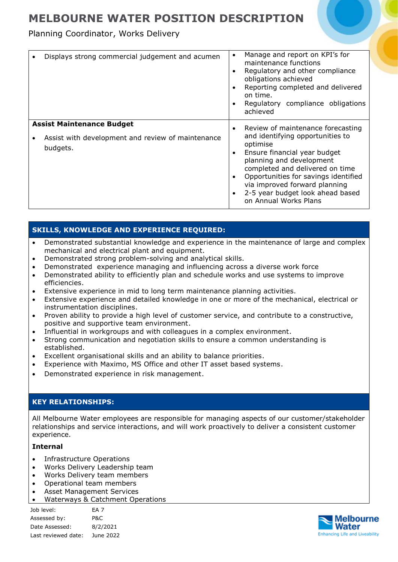Planning Coordinator, Works Delivery

| Displays strong commercial judgement and acumen                                                   | Manage and report on KPI's for<br>maintenance functions<br>Regulatory and other compliance<br>obligations achieved<br>Reporting completed and delivered<br>on time.<br>Regulatory compliance obligations<br>achieved                                                                                                   |
|---------------------------------------------------------------------------------------------------|------------------------------------------------------------------------------------------------------------------------------------------------------------------------------------------------------------------------------------------------------------------------------------------------------------------------|
| <b>Assist Maintenance Budget</b><br>Assist with development and review of maintenance<br>budgets. | Review of maintenance forecasting<br>and identifying opportunities to<br>optimise<br>Ensure financial year budget<br>planning and development<br>completed and delivered on time<br>Opportunities for savings identified<br>via improved forward planning<br>2-5 year budget look ahead based<br>on Annual Works Plans |

### **SKILLS, KNOWLEDGE AND EXPERIENCE REQUIRED:**

- Demonstrated substantial knowledge and experience in the maintenance of large and complex mechanical and electrical plant and equipment.
- Demonstrated strong problem-solving and analytical skills.
- Demonstrated experience managing and influencing across a diverse work force
- Demonstrated ability to efficiently plan and schedule works and use systems to improve efficiencies.
- Extensive experience in mid to long term maintenance planning activities.
- Extensive experience and detailed knowledge in one or more of the mechanical, electrical or instrumentation disciplines.
- Proven ability to provide a high level of customer service, and contribute to a constructive, positive and supportive team environment.
- Influential in workgroups and with colleagues in a complex environment.
- Strong communication and negotiation skills to ensure a common understanding is established.
- Excellent organisational skills and an ability to balance priorities.
- Experience with Maximo, MS Office and other IT asset based systems.
- Demonstrated experience in risk management.

#### **KEY RELATIONSHIPS:**

All Melbourne Water employees are responsible for managing aspects of our customer/stakeholder relationships and service interactions, and will work proactively to deliver a consistent customer experience.

#### **Internal**

- Infrastructure Operations
- Works Delivery Leadership team
- Works Delivery team members
- Operational team members
- Asset Management Services
- Waterways & Catchment Operations

| Job level:          | FA <sub>7</sub> |
|---------------------|-----------------|
| Assessed by:        | P&C             |
| Date Assessed:      | 8/2/2021        |
| Last reviewed date: | June 2022       |